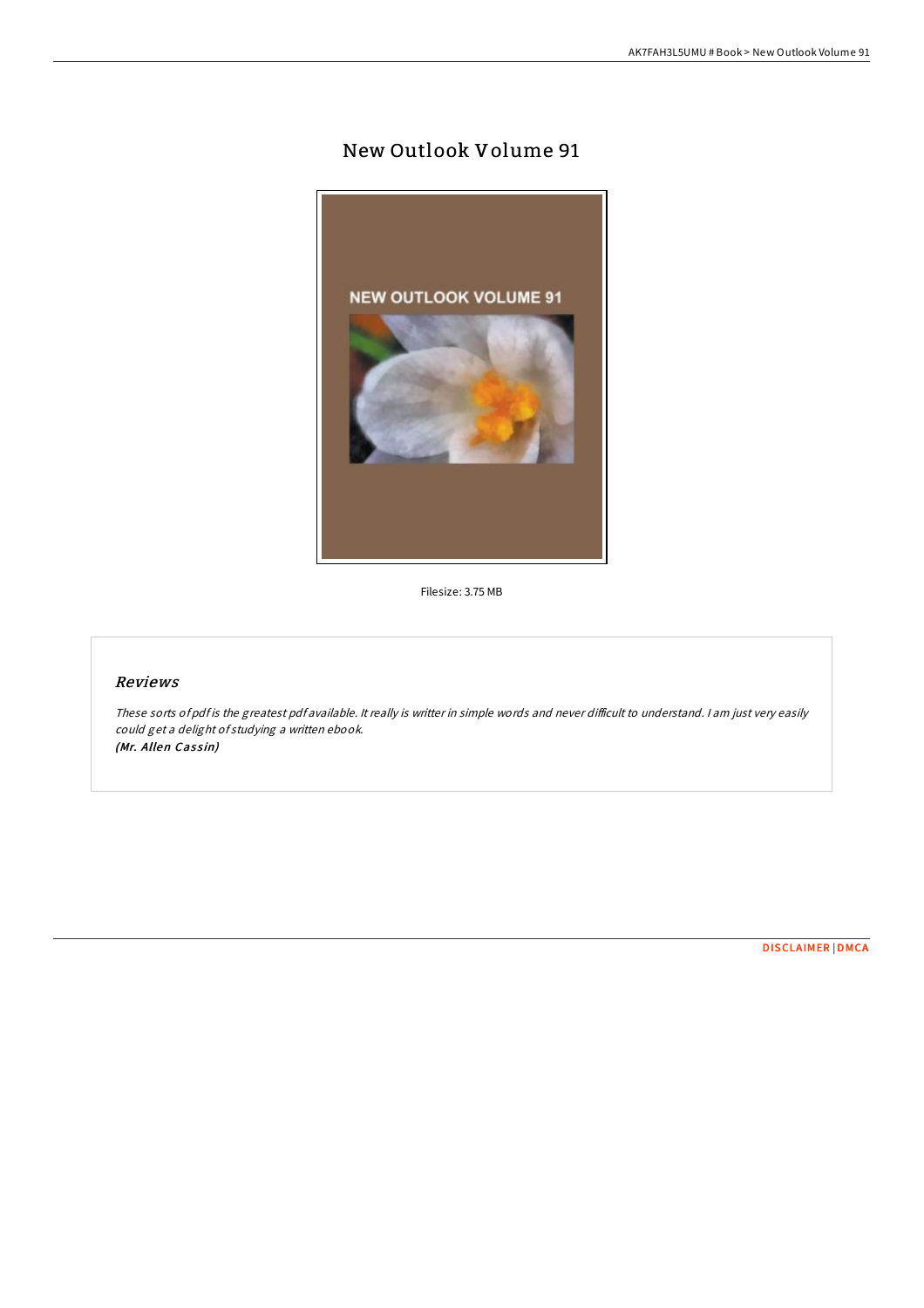# New Outlook Volume 91



Filesize: 3.75 MB

## Reviews

These sorts of pdf is the greatest pdf available. It really is writter in simple words and never difficult to understand. I am just very easily could get <sup>a</sup> delight of studying <sup>a</sup> written ebook. (Mr. Allen Cassin)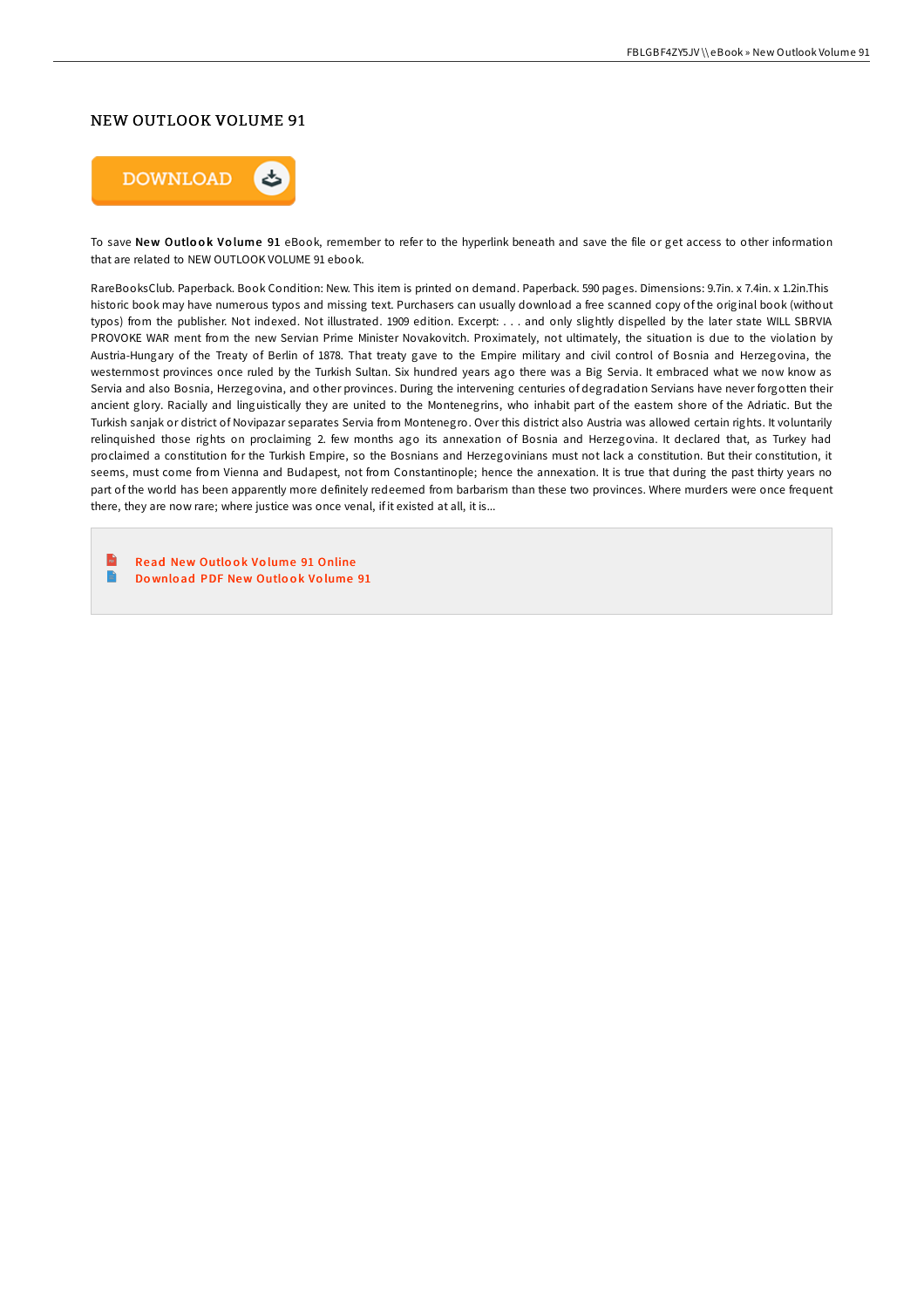#### NEW OUTLOOK VOLUME 91



To save New Outlook Volume 91 eBook, remember to refer to the hyperlink beneath and save the file or get access to other information that are related to NEW OUTLOOK VOLUME 91 ebook.

RareBooksClub. Paperback. Book Condition: New. This item is printed on demand. Paperback. 590 pages. Dimensions: 9.7in. x 7.4in. x 1.2in.This historic book may have numerous typos and missing text. Purchasers can usually download a free scanned copy of the original book (without typos) from the publisher. Not indexed. Not illustrated. 1909 edition. Excerpt: . . . and only slightly dispelled by the later state WILL SBRVIA PROVOKE WAR ment from the new Servian Prime Minister Novakovitch. Proximately, not ultimately, the situation is due to the violation by Austria-Hungary of the Treaty of Berlin of 1878. That treaty gave to the Empire military and civil control of Bosnia and Herzegovina, the westernmost provinces once ruled by the Turkish Sultan. Six hundred years ago there was a Big Servia. It embraced what we now know as Servia and also Bosnia, Herzegovina, and other provinces. During the intervening centuries of degradation Servians have never forgotten their ancient glory. Racially and linguistically they are united to the Montenegrins, who inhabit part of the eastem shore of the Adriatic. But the Turkish sanjak or district of Novipazar separates Servia from Montenegro. Over this district also Austria was allowed certain rights. It voluntarily relinquished those rights on proclaiming 2. few months ago its annexation of Bosnia and Herzegovina. It declared that, as Turkey had proclaimed a constitution for the Turkish Empire, so the Bosnians and Herzegovinians must not lack a constitution. But their constitution, it seems, must come from Vienna and Budapest, not from Constantinople; hence the annexation. It is true that during the past thirty years no part of the world has been apparently more definitely redeemed from barbarism than these two provinces. Where murders were once frequent there, they are now rare; where justice was once venal, if it existed at all, it is...

**Inch** Read New Outlook Volume 91 [Online](http://almighty24.tech/new-outlook-volume-91.html)  $\blacksquare$ Download PDF New [Outlo](http://almighty24.tech/new-outlook-volume-91.html)ok Volume 91